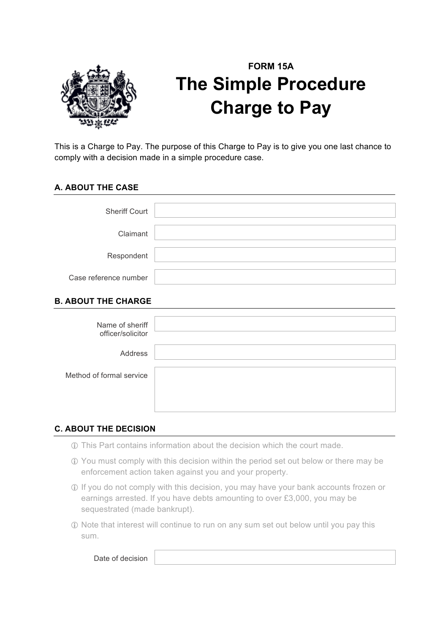

# **FORM 15A The Simple Procedure Charge to Pay**

This is a Charge to Pay. The purpose of this Charge to Pay is to give you one last chance to comply with a decision made in a simple procedure case.

## **A. ABOUT THE CASE**

| <b>Sheriff Court</b>  |  |
|-----------------------|--|
| Claimant              |  |
| Respondent            |  |
| Case reference number |  |

## **B. ABOUT THE CHARGE**

| Name of sheriff<br>officer/solicitor |  |
|--------------------------------------|--|
| Address                              |  |
| Method of formal service             |  |

## **C. ABOUT THE DECISION**

- ! This Part contains information about the decision which the court made.
- ! You must comply with this decision within the period set out below or there may be enforcement action taken against you and your property.
- ! If you do not comply with this decision, you may have your bank accounts frozen or earnings arrested. If you have debts amounting to over £3,000, you may be sequestrated (made bankrupt).
- ! Note that interest will continue to run on any sum set out below until you pay this sum.

Date of decision